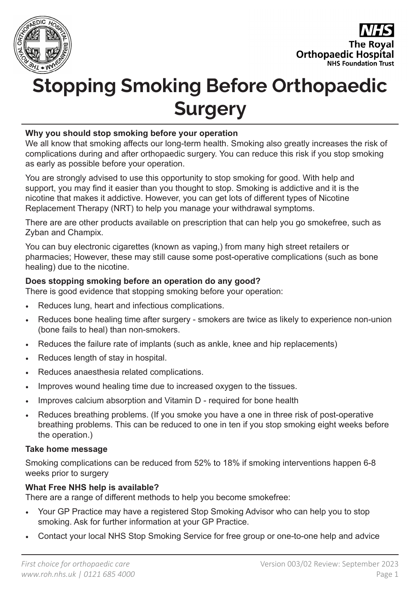



# **Stopping Smoking Before Orthopaedic Surgery**

### **Why you should stop smoking before your operation**

We all know that smoking affects our long-term health. Smoking also greatly increases the risk of complications during and after orthopaedic surgery. You can reduce this risk if you stop smoking as early as possible before your operation.

You are strongly advised to use this opportunity to stop smoking for good. With help and support, you may find it easier than you thought to stop. Smoking is addictive and it is the nicotine that makes it addictive. However, you can get lots of different types of Nicotine Replacement Therapy (NRT) to help you manage your withdrawal symptoms.

There are are other products available on prescription that can help you go smokefree, such as Zyban and Champix.

You can buy electronic cigarettes (known as vaping,) from many high street retailers or pharmacies; However, these may still cause some post-operative complications (such as bone healing) due to the nicotine.

#### **Does stopping smoking before an operation do any good?**

There is good evidence that stopping smoking before your operation:

- Reduces lung, heart and infectious complications.
- Reduces bone healing time after surgery smokers are twice as likely to experience non-union (bone fails to heal) than non-smokers.
- Reduces the failure rate of implants (such as ankle, knee and hip replacements)
- Reduces length of stay in hospital.
- Reduces anaesthesia related complications.
- Improves wound healing time due to increased oxygen to the tissues.
- Improves calcium absorption and Vitamin D required for bone health
- Reduces breathing problems. (If you smoke you have a one in three risk of post-operative breathing problems. This can be reduced to one in ten if you stop smoking eight weeks before the operation.)

#### **Take home message**

Smoking complications can be reduced from 52% to 18% if smoking interventions happen 6-8 weeks prior to surgery

## **What Free NHS help is available?**

There are a range of different methods to help you become smokefree:

- Your GP Practice may have a registered Stop Smoking Advisor who can help you to stop smoking. Ask for further information at your GP Practice.
- Contact your local NHS Stop Smoking Service for free group or one-to-one help and advice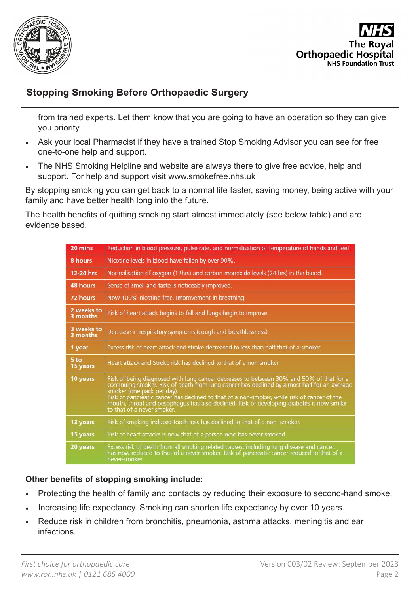



## **Stopping Smoking Before Orthopaedic Surgery**

from trained experts. Let them know that you are going to have an operation so they can give you priority.

- Ask your local Pharmacist if they have a trained Stop Smoking Advisor you can see for free one-to-one help and support.
- The NHS Smoking Helpline and website are always there to give free advice, help and support. For help and support visit www.smokefree.nhs.uk

By stopping smoking you can get back to a normal life faster, saving money, being active with your family and have better health long into the future.

The health benefits of quitting smoking start almost immediately (see below table) and are evidence based.

| 20 mins                | Reduction in blood pressure, pulse rate, and normalisation of temperature of hands and feet                                                                                                                                                                                                                                                                                                                                                      |
|------------------------|--------------------------------------------------------------------------------------------------------------------------------------------------------------------------------------------------------------------------------------------------------------------------------------------------------------------------------------------------------------------------------------------------------------------------------------------------|
| 8 hours                | Nicotine levels in blood have fallen by over 90%.                                                                                                                                                                                                                                                                                                                                                                                                |
| 12-24 hrs              | Normalisation of oxygen (12hrs) and carbon monoxide levels (24 hrs) in the blood.                                                                                                                                                                                                                                                                                                                                                                |
| 48 hours               | Sense of smell and taste is noticeably improved.                                                                                                                                                                                                                                                                                                                                                                                                 |
| 72 hours               | Now 100% nicotine-free. Improvement in breathing.                                                                                                                                                                                                                                                                                                                                                                                                |
| 2 weeks to<br>3 months | Risk of heart attack begins to fall and lungs begin to improve.                                                                                                                                                                                                                                                                                                                                                                                  |
| 3 weeks to<br>3 months | Decrease in respiratory symptoms (cough and breathlessness).                                                                                                                                                                                                                                                                                                                                                                                     |
| 1 year                 | Excess risk of heart attack and stroke decreased to less than half that of a smoker.                                                                                                                                                                                                                                                                                                                                                             |
| 5 to<br>15 years       | Heart attack and Stroke risk has declined to that of a non-smoker                                                                                                                                                                                                                                                                                                                                                                                |
| 10 years               | Risk of being diagnosed with lung cancer decreases to between 30% and 50% of that for a<br>continuing smoker. Risk of death from lung cancer has declined by almost half for an average<br>smoker (one pack per day).<br>Risk of pancreatic cancer has declined to that of a non-smoker, while risk of cancer of the<br>mouth, throat and oesophagus has also declined. Risk of developing diabetes is now similar<br>to that of a never smoker. |
| 13 years               | Risk of smoking-induced tooth loss has declined to that of a non-smoker.                                                                                                                                                                                                                                                                                                                                                                         |
| 15 years               | Risk of heart attacks is now that of a person who has never smoked.                                                                                                                                                                                                                                                                                                                                                                              |
| 20 years               | Excess risk of death from all smoking related causes, including lung disease and cancer,<br>has now reduced to that of a never smoker. Risk of pancreatic cancer reduced to that of a<br>never-smoker                                                                                                                                                                                                                                            |

## **Other benefits of stopping smoking include:**

- Protecting the health of family and contacts by reducing their exposure to second-hand smoke.
- Increasing life expectancy. Smoking can shorten life expectancy by over 10 years.
- Reduce risk in children from bronchitis, pneumonia, asthma attacks, meningitis and ear infections.